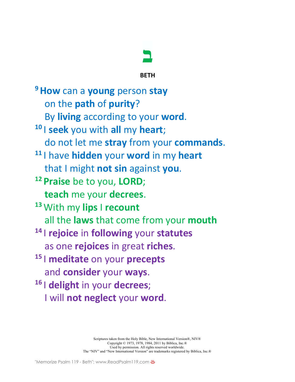

**BETH**

**9How** can a **young** person **stay** on the **path** of **purity**? By **living** according to your **word**. **<sup>10</sup>** I **seek** you with **all** my **heart**; do not let me **stray** from your **commands**. **<sup>11</sup>** I have **hidden** your **word** in my **heart** that I might **not sin** against **you**. **<sup>12</sup> Praise** be to you, **LORD**; **teach** me your **decrees**. **<sup>13</sup>** With my **lips** I **recount** all the **laws** that come from your **mouth <sup>14</sup>** I **rejoice** in **following** your **statutes** as one **rejoices** in great **riches**. **<sup>15</sup>** I **meditate** on your **precepts** and **consider** your **ways**. **<sup>16</sup>** I **delight** in your **decrees**; I will **not neglect** your **word**.

> Scriptures taken from the Holy Bible, New International Version®, NIV® Copyright © 1973, 1978, 1984, 2011 by Biblica, Inc.® Used by permission. All rights reserved worldwide. The "NIV" and "New International Version" are trademarks registered by Biblica, Inc.®